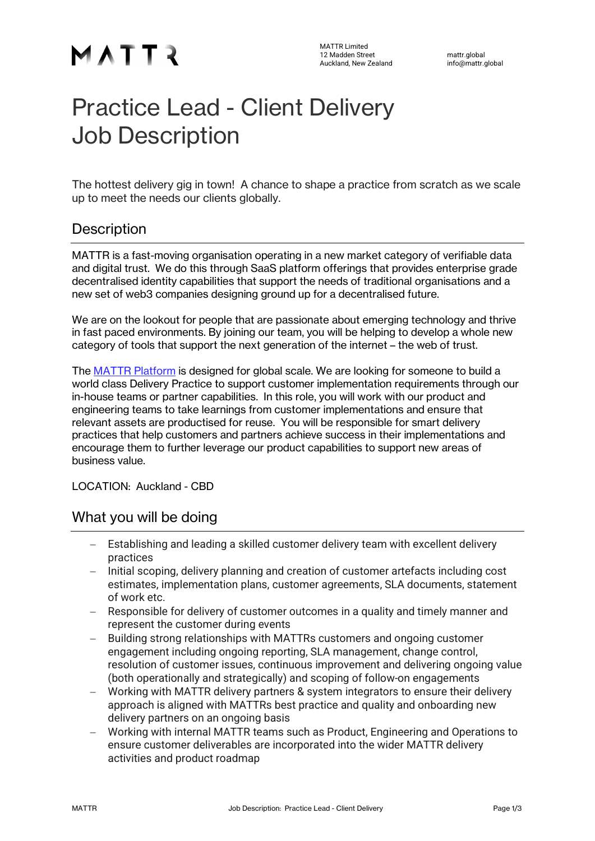# MATTR

## Practice Lead - Client Delivery Job Description

The hottest delivery gig in town! A chance to shape a practice from scratch as we scale up to meet the needs our clients globally.

#### **Description**

MATTR is a fast-moving organisation operating in a new market category of verifiable data and digital trust. We do this through SaaS platform offerings that provides enterprise grade decentralised identity capabilities that support the needs of traditional organisations and a new set of web3 companies designing ground up for a decentralised future.

We are on the lookout for people that are passionate about emerging technology and thrive in fast paced environments. By joining our team, you will be helping to develop a whole new category of tools that support the next generation of the internet – the web of trust.

The MATTR Platform is designed for global scale. We are looking for someone to build a world class Delivery Practice to support customer implementation requirements through our in-house teams or partner capabilities. In this role, you will work with our product and engineering teams to take learnings from customer implementations and ensure that relevant assets are productised for reuse. You will be responsible for smart delivery practices that help customers and partners achieve success in their implementations and encourage them to further leverage our product capabilities to support new areas of business value.

LOCATION: Auckland - CBD

#### What you will be doing

- Establishing and leading a skilled customer delivery team with excellent delivery practices
- Initial scoping, delivery planning and creation of customer artefacts including cost estimates, implementation plans, customer agreements, SLA documents, statement of work etc.
- Responsible for delivery of customer outcomes in a quality and timely manner and represent the customer during events
- Building strong relationships with MATTRs customers and ongoing customer engagement including ongoing reporting, SLA management, change control, resolution of customer issues, continuous improvement and delivering ongoing value (both operationally and strategically) and scoping of follow-on engagements
- Working with MATTR delivery partners & system integrators to ensure their delivery approach is aligned with MATTRs best practice and quality and onboarding new delivery partners on an ongoing basis
- Working with internal MATTR teams such as Product, Engineering and Operations to ensure customer deliverables are incorporated into the wider MATTR delivery activities and product roadmap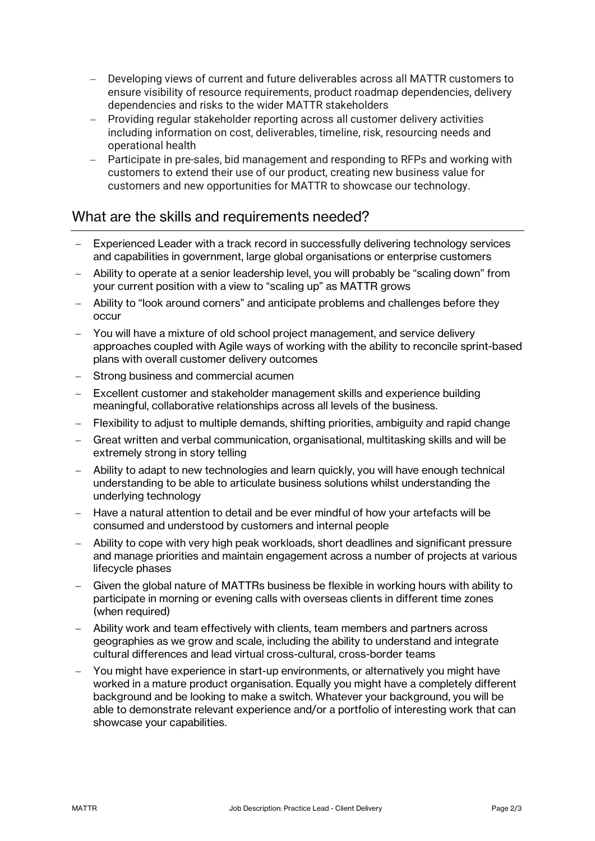- Developing views of current and future deliverables across all MATTR customers to ensure visibility of resource requirements, product roadmap dependencies, delivery dependencies and risks to the wider MATTR stakeholders
- Providing regular stakeholder reporting across all customer delivery activities including information on cost, deliverables, timeline, risk, resourcing needs and operational health
- Participate in pre-sales, bid management and responding to RFPs and working with customers to extend their use of our product, creating new business value for customers and new opportunities for MATTR to showcase our technology.

#### What are the skills and requirements needed?

- Experienced Leader with a track record in successfully delivering technology services and capabilities in government, large global organisations or enterprise customers
- Ability to operate at a senior leadership level, you will probably be "scaling down" from your current position with a view to "scaling up" as MATTR grows
- Ability to "look around corners" and anticipate problems and challenges before they occur
- You will have a mixture of old school project management, and service delivery approaches coupled with Agile ways of working with the ability to reconcile sprint-based plans with overall customer delivery outcomes
- Strong business and commercial acumen
- Excellent customer and stakeholder management skills and experience building meaningful, collaborative relationships across all levels of the business.
- Flexibility to adjust to multiple demands, shifting priorities, ambiguity and rapid change
- Great written and verbal communication, organisational, multitasking skills and will be extremely strong in story telling
- Ability to adapt to new technologies and learn quickly, you will have enough technical understanding to be able to articulate business solutions whilst understanding the underlying technology
- Have a natural attention to detail and be ever mindful of how your artefacts will be consumed and understood by customers and internal people
- Ability to cope with very high peak workloads, short deadlines and significant pressure and manage priorities and maintain engagement across a number of projects at various lifecycle phases
- Given the global nature of MATTRs business be flexible in working hours with ability to participate in morning or evening calls with overseas clients in different time zones (when required)
- Ability work and team effectively with clients, team members and partners across geographies as we grow and scale, including the ability to understand and integrate cultural differences and lead virtual cross-cultural, cross-border teams
- You might have experience in start-up environments, or alternatively you might have worked in a mature product organisation. Equally you might have a completely different background and be looking to make a switch. Whatever your background, you will be able to demonstrate relevant experience and/or a portfolio of interesting work that can showcase your capabilities.